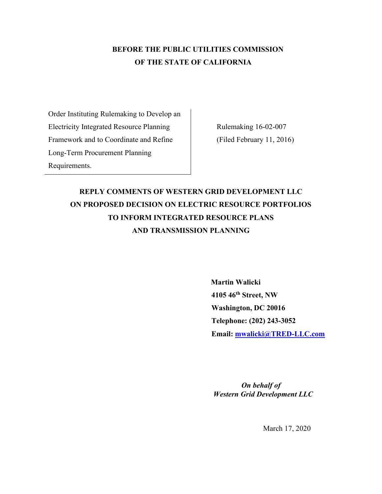## **BEFORE THE PUBLIC UTILITIES COMMISSION OF THE STATE OF CALIFORNIA**

Order Instituting Rulemaking to Develop an Electricity Integrated Resource Planning Framework and to Coordinate and Refine Long-Term Procurement Planning Requirements.

Rulemaking 16-02-007 (Filed February 11, 2016)

# **REPLY COMMENTS OF WESTERN GRID DEVELOPMENT LLC ON PROPOSED DECISION ON ELECTRIC RESOURCE PORTFOLIOS TO INFORM INTEGRATED RESOURCE PLANS AND TRANSMISSION PLANNING**

 **Martin Walicki 4105 46th Street, NW Washington, DC 20016 Telephone: (202) 243-3052 Email: [mwalicki@TRED-LLC.com](mailto:mwalicki@TRED-LLC.com)**

 *On behalf of Western Grid Development LLC* 

March 17, 2020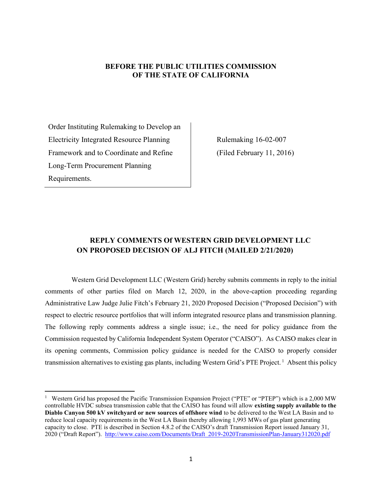#### **BEFORE THE PUBLIC UTILITIES COMMISSION OF THE STATE OF CALIFORNIA**

Order Instituting Rulemaking to Develop an Electricity Integrated Resource Planning Framework and to Coordinate and Refine Long-Term Procurement Planning Requirements.

Rulemaking 16-02-007 (Filed February 11, 2016)

### **REPLY COMMENTS Of WESTERN GRID DEVELOPMENT LLC ON PROPOSED DECISION OF ALJ FITCH (MAILED 2/21/2020)**

Western Grid Development LLC (Western Grid) hereby submits comments in reply to the initial comments of other parties filed on March 12, 2020, in the above-caption proceeding regarding Administrative Law Judge Julie Fitch's February 21, 2020 Proposed Decision ("Proposed Decision") with respect to electric resource portfolios that will inform integrated resource plans and transmission planning. The following reply comments address a single issue; i.e., the need for policy guidance from the Commission requested by California Independent System Operator ("CAISO"). As CAISO makes clear in its opening comments, Commission policy guidance is needed for the CAISO to properly consider transmission alternatives to existing gas plants, including Western Grid's PTE Project.<sup>1</sup> Absent this policy

<sup>&</sup>lt;sup>1</sup> Western Grid has proposed the Pacific Transmission Expansion Project ("PTE" or "PTEP") which is a 2,000 MW controllable HVDC subsea transmission cable that the CAISO has found will allow **existing supply available to the Diablo Canyon 500 kV switchyard or new sources of offshore wind** to be delivered to the West LA Basin and to reduce local capacity requirements in the West LA Basin thereby allowing 1,993 MWs of gas plant generating capacity to close. PTE is described in Section 4.8.2 of the CAISO's draft Transmission Report issued January 31, 2020 ("Draft Report"). [http://www.caiso.com/Documents/Draft\\_2019-2020TransmissionPlan-January312020.pdf](http://www.caiso.com/Documents/Draft_2019-2020TransmissionPlan-January312020.pdf)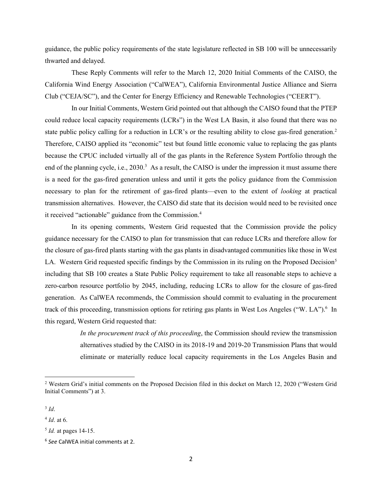guidance, the public policy requirements of the state legislature reflected in SB 100 will be unnecessarily thwarted and delayed.

These Reply Comments will refer to the March 12, 2020 Initial Comments of the CAISO, the California Wind Energy Association ("CalWEA"), California Environmental Justice Alliance and Sierra Club ("CEJA/SC"), and the Center for Energy Efficiency and Renewable Technologies ("CEERT").

In our Initial Comments, Western Grid pointed out that although the CAISO found that the PTEP could reduce local capacity requirements (LCRs") in the West LA Basin, it also found that there was no state public policy calling for a reduction in LCR's or the resulting ability to close gas-fired generation.<sup>2</sup> Therefore, CAISO applied its "economic" test but found little economic value to replacing the gas plants because the CPUC included virtually all of the gas plants in the Reference System Portfolio through the end of the planning cycle, i.e., 2030.<sup>3</sup> As a result, the CAISO is under the impression it must assume there is a need for the gas-fired generation unless and until it gets the policy guidance from the Commission necessary to plan for the retirement of gas-fired plants—even to the extent of *looking* at practical transmission alternatives. However, the CAISO did state that its decision would need to be revisited once it received "actionable" guidance from the Commission.<sup>4</sup>

In its opening comments, Western Grid requested that the Commission provide the policy guidance necessary for the CAISO to plan for transmission that can reduce LCRs and therefore allow for the closure of gas-fired plants starting with the gas plants in disadvantaged communities like those in West LA. Western Grid requested specific findings by the Commission in its ruling on the Proposed Decision<sup>5</sup> including that SB 100 creates a State Public Policy requirement to take all reasonable steps to achieve a zero-carbon resource portfolio by 2045, including, reducing LCRs to allow for the closure of gas-fired generation. As CalWEA recommends, the Commission should commit to evaluating in the procurement track of this proceeding, transmission options for retiring gas plants in West Los Angeles ("W. LA").<sup>6</sup> In this regard, Western Grid requested that:

> *In the procurement track of this proceeding*, the Commission should review the transmission alternatives studied by the CAISO in its 2018-19 and 2019-20 Transmission Plans that would eliminate or materially reduce local capacity requirements in the Los Angeles Basin and

<sup>&</sup>lt;sup>2</sup> Western Grid's initial comments on the Proposed Decision filed in this docket on March 12, 2020 ("Western Grid Initial Comments") at 3.

<sup>3</sup> *Id*.

<sup>4</sup> *Id*. at 6.

<sup>5</sup> *Id.* at pages 14-15.

<sup>6</sup> *See* CalWEA initial comments at 2.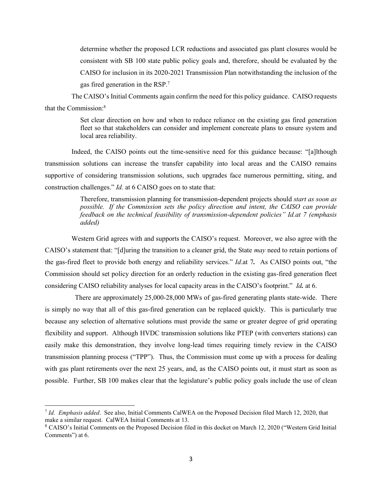determine whether the proposed LCR reductions and associated gas plant closures would be consistent with SB 100 state public policy goals and, therefore, should be evaluated by the CAISO for inclusion in its 2020-2021 Transmission Plan notwithstanding the inclusion of the gas fired generation in the RSP.<sup>7</sup>

The CAISO's Initial Comments again confirm the need for this policy guidance. CAISO requests that the Commission:<sup>8</sup>

> Set clear direction on how and when to reduce reliance on the existing gas fired generation fleet so that stakeholders can consider and implement concreate plans to ensure system and local area reliability.

Indeed, the CAISO points out the time-sensitive need for this guidance because: "[a]lthough transmission solutions can increase the transfer capability into local areas and the CAISO remains supportive of considering transmission solutions, such upgrades face numerous permitting, siting, and construction challenges." *Id.* at 6 CAISO goes on to state that:

> Therefore, transmission planning for transmission-dependent projects should *start as soon as possible. If the Commission sets the policy direction and intent, the CAISO can provide feedback on the technical feasibility of transmission-dependent policies" Id.at 7 (emphasis added)*

Western Grid agrees with and supports the CAISO's request. Moreover, we also agree with the CAISO's statement that: "[d]uring the transition to a cleaner grid, the State *may* need to retain portions of the gas-fired fleet to provide both energy and reliability services." *Id*.at 7*.* As CAISO points out, "the Commission should set policy direction for an orderly reduction in the existing gas-fired generation fleet considering CAISO reliability analyses for local capacity areas in the CAISO's footprint." *Id.* at 6.

 There are approximately 25,000-28,000 MWs of gas-fired generating plants state-wide. There is simply no way that all of this gas-fired generation can be replaced quickly. This is particularly true because any selection of alternative solutions must provide the same or greater degree of grid operating flexibility and support. Although HVDC transmission solutions like PTEP (with converters stations) can easily make this demonstration, they involve long-lead times requiring timely review in the CAISO transmission planning process ("TPP"). Thus, the Commission must come up with a process for dealing with gas plant retirements over the next 25 years, and, as the CAISO points out, it must start as soon as possible. Further, SB 100 makes clear that the legislature's public policy goals include the use of clean

<sup>7</sup> *Id. Emphasis added*. See also, Initial Comments CalWEA on the Proposed Decision filed March 12, 2020, that make a similar request. CalWEA Initial Comments at 13.

<sup>8</sup> CAISO's Initial Comments on the Proposed Decision filed in this docket on March 12, 2020 ("Western Grid Initial Comments") at 6.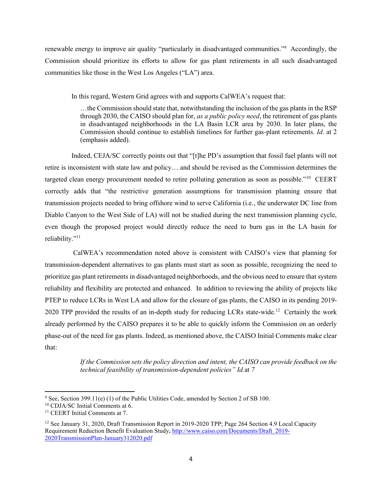renewable energy to improve air quality "particularly in disadvantaged communities."<sup>9</sup> Accordingly, the Commission should prioritize its efforts to allow for gas plant retirements in all such disadvantaged communities like those in the West Los Angeles ("LA") area.

In this regard, Western Grid agrees with and supports CalWEA's request that:

…the Commission should state that, notwithstanding the inclusion of the gas plants in the RSP through 2030, the CAISO should plan for, *as a public policy need*, the retirement of gas plants in disadvantaged neighborhoods in the LA Basin LCR area by 2030. In later plans, the Commission should continue to establish timelines for further gas-plant retirements. *Id*. at 2 (emphasis added).

Indeed, CEJA/SC correctly points out that "[t]he PD's assumption that fossil fuel plants will not retire is inconsistent with state law and policy… and should be revised as the Commission determines the targeted clean energy procurement needed to retire polluting generation as soon as possible."<sup>10</sup> CEERT correctly adds that "the restrictive generation assumptions for transmission planning ensure that transmission projects needed to bring offshore wind to serve California (i.e., the underwater DC line from Diablo Canyon to the West Side of LA) will not be studied during the next transmission planning cycle, even though the proposed project would directly reduce the need to burn gas in the LA basin for reliability."<sup>11</sup>

CalWEA's recommendation noted above is consistent with CAISO's view that planning for transmission-dependent alternatives to gas plants must start as soon as possible, recognizing the need to prioritize gas plant retirements in disadvantaged neighborhoods, and the obvious need to ensure that system reliability and flexibility are protected and enhanced. In addition to reviewing the ability of projects like PTEP to reduce LCRs in West LA and allow for the closure of gas plants, the CAISO in its pending 2019- 2020 TPP provided the results of an in-depth study for reducing LCRs state-wide.<sup>12</sup> Certainly the work already performed by the CAISO prepares it to be able to quickly inform the Commission on an orderly phase-out of the need for gas plants. Indeed, as mentioned above, the CAISO Initial Comments make clear that:

> *If the Commission sets the policy direction and intent, the CAISO can provide feedback on the technical feasibility of transmission-dependent policies" Id.*at *7*

 $9$  See, Section 399.11(e) (1) of the Public Utilities Code, amended by Section 2 of SB 100.

<sup>10</sup> CDJA/SC Initial Comments at 6.

<sup>&</sup>lt;sup>11</sup> CEERT Initial Comments at 7.

<sup>&</sup>lt;sup>12</sup> See January 31, 2020, Draft Transmission Report in 2019-2020 TPP; Page 264 Section 4.9 Local Capacity Requirement Reduction Benefit Evaluation Study**.** [http://www.caiso.com/Documents/Draft\\_2019-](http://www.caiso.com/Documents/Draft_2019-2020TransmissionPlan-January312020.pdf) [2020TransmissionPlan-January312020.pdf](http://www.caiso.com/Documents/Draft_2019-2020TransmissionPlan-January312020.pdf)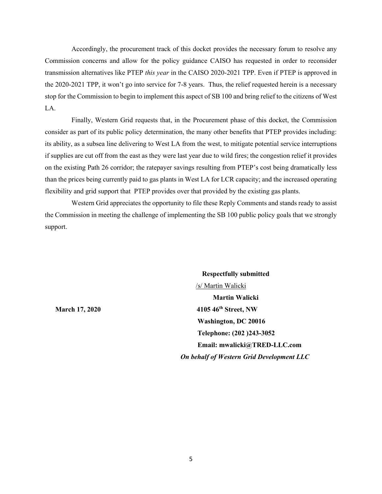Accordingly, the procurement track of this docket provides the necessary forum to resolve any Commission concerns and allow for the policy guidance CAISO has requested in order to reconsider transmission alternatives like PTEP *this year* in the CAISO 2020-2021 TPP. Even if PTEP is approved in the 2020-2021 TPP, it won't go into service for 7-8 years. Thus, the relief requested herein is a necessary stop for the Commission to begin to implement this aspect of SB 100 and bring relief to the citizens of West LA.

Finally, Western Grid requests that, in the Procurement phase of this docket, the Commission consider as part of its public policy determination, the many other benefits that PTEP provides including: its ability, as a subsea line delivering to West LA from the west, to mitigate potential service interruptions if supplies are cut off from the east as they were last year due to wild fires; the congestion relief it provides on the existing Path 26 corridor; the ratepayer savings resulting from PTEP's cost being dramatically less than the prices being currently paid to gas plants in West LA for LCR capacity; and the increased operating flexibility and grid support that PTEP provides over that provided by the existing gas plants.

Western Grid appreciates the opportunity to file these Reply Comments and stands ready to assist the Commission in meeting the challenge of implementing the SB 100 public policy goals that we strongly support.

**Respectfully submitted** /s/ Martin Walicki **Martin Walicki March 17, 2020** 4105 46<sup>th</sup> Street, NW  **Washington, DC 20016 Telephone: (202 )243-3052 Email: mwalicki@TRED-LLC.com**   *On behalf of Western Grid Development LLC*